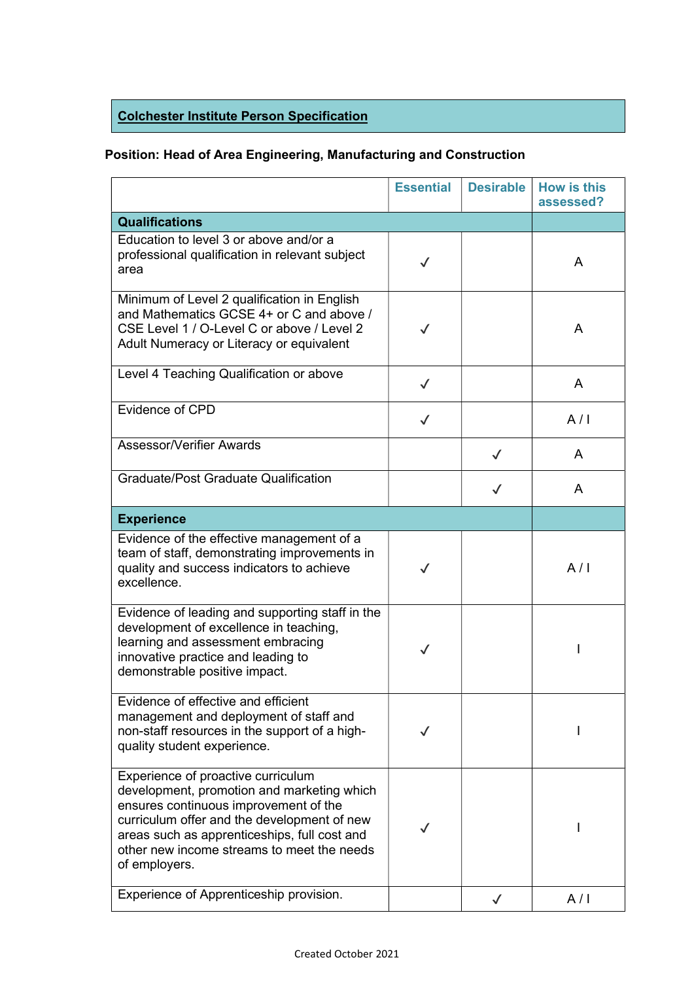## Colchester Institute Person Specification

## Position: Head of Area Engineering, Manufacturing and Construction

|                                                                                                                                                                                                                                                                                         | <b>Essential</b> | <b>Desirable</b> | <b>How is this</b><br>assessed? |
|-----------------------------------------------------------------------------------------------------------------------------------------------------------------------------------------------------------------------------------------------------------------------------------------|------------------|------------------|---------------------------------|
| <b>Qualifications</b>                                                                                                                                                                                                                                                                   |                  |                  |                                 |
| Education to level 3 or above and/or a<br>professional qualification in relevant subject<br>area                                                                                                                                                                                        | $\checkmark$     |                  | A                               |
| Minimum of Level 2 qualification in English<br>and Mathematics GCSE 4+ or C and above /<br>CSE Level 1 / O-Level C or above / Level 2<br>Adult Numeracy or Literacy or equivalent                                                                                                       | $\checkmark$     |                  | A                               |
| Level 4 Teaching Qualification or above                                                                                                                                                                                                                                                 | $\checkmark$     |                  | A                               |
| Evidence of CPD                                                                                                                                                                                                                                                                         | $\checkmark$     |                  | A/I                             |
| Assessor/Verifier Awards                                                                                                                                                                                                                                                                |                  | $\checkmark$     | A                               |
| <b>Graduate/Post Graduate Qualification</b>                                                                                                                                                                                                                                             |                  |                  | A                               |
| <b>Experience</b>                                                                                                                                                                                                                                                                       |                  |                  |                                 |
| Evidence of the effective management of a<br>team of staff, demonstrating improvements in<br>quality and success indicators to achieve<br>excellence.                                                                                                                                   | $\checkmark$     |                  | A/I                             |
| Evidence of leading and supporting staff in the<br>development of excellence in teaching,<br>learning and assessment embracing<br>innovative practice and leading to<br>demonstrable positive impact.                                                                                   | $\checkmark$     |                  |                                 |
| Evidence of effective and efficient<br>management and deployment of staff and<br>non-staff resources in the support of a high-<br>quality student experience.                                                                                                                           | $\checkmark$     |                  |                                 |
| Experience of proactive curriculum<br>development, promotion and marketing which<br>ensures continuous improvement of the<br>curriculum offer and the development of new<br>areas such as apprenticeships, full cost and<br>other new income streams to meet the needs<br>of employers. | $\checkmark$     |                  |                                 |
| Experience of Apprenticeship provision.                                                                                                                                                                                                                                                 |                  | $\checkmark$     | A/I                             |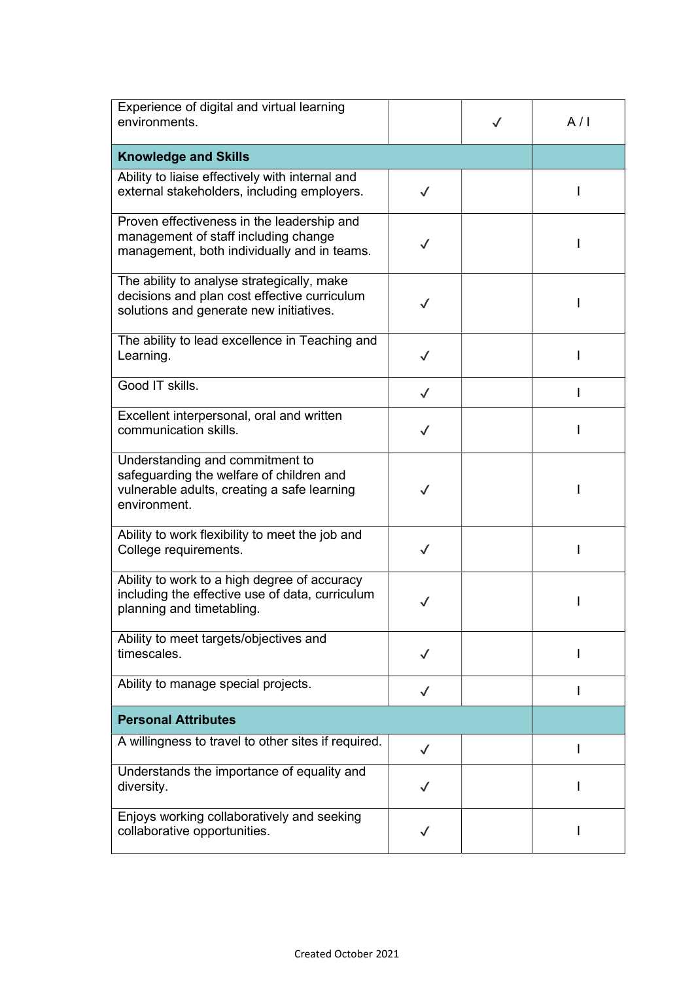| Experience of digital and virtual learning<br>environments.                                                                                |              | $\checkmark$ | A/I |
|--------------------------------------------------------------------------------------------------------------------------------------------|--------------|--------------|-----|
| <b>Knowledge and Skills</b>                                                                                                                |              |              |     |
| Ability to liaise effectively with internal and<br>external stakeholders, including employers.                                             | $\checkmark$ |              |     |
| Proven effectiveness in the leadership and<br>management of staff including change<br>management, both individually and in teams.          |              |              |     |
| The ability to analyse strategically, make<br>decisions and plan cost effective curriculum<br>solutions and generate new initiatives.      | $\checkmark$ |              |     |
| The ability to lead excellence in Teaching and<br>Learning.                                                                                | $\checkmark$ |              |     |
| Good IT skills.                                                                                                                            | $\checkmark$ |              |     |
| Excellent interpersonal, oral and written<br>communication skills.                                                                         | $\checkmark$ |              |     |
| Understanding and commitment to<br>safeguarding the welfare of children and<br>vulnerable adults, creating a safe learning<br>environment. |              |              |     |
| Ability to work flexibility to meet the job and<br>College requirements.                                                                   | $\checkmark$ |              |     |
| Ability to work to a high degree of accuracy<br>including the effective use of data, curriculum<br>planning and timetabling.               |              |              |     |
| Ability to meet targets/objectives and<br>timescales.                                                                                      | $\checkmark$ |              |     |
| Ability to manage special projects.                                                                                                        | $\checkmark$ |              |     |
| <b>Personal Attributes</b>                                                                                                                 |              |              |     |
| A willingness to travel to other sites if required.                                                                                        | $\checkmark$ |              |     |
| Understands the importance of equality and<br>diversity.                                                                                   |              |              |     |
| Enjoys working collaboratively and seeking<br>collaborative opportunities.                                                                 |              |              |     |